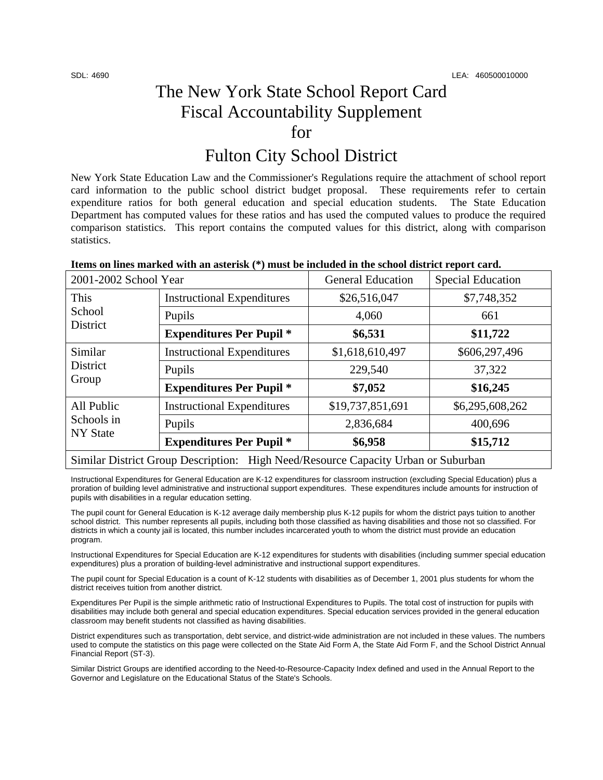# The New York State School Report Card Fiscal Accountability Supplement for

## Fulton City School District

New York State Education Law and the Commissioner's Regulations require the attachment of school report card information to the public school district budget proposal. These requirements refer to certain expenditure ratios for both general education and special education students. The State Education Department has computed values for these ratios and has used the computed values to produce the required comparison statistics. This report contains the computed values for this district, along with comparison statistics.

| 2001-2002 School Year                                                             |                                   | <b>General Education</b> | <b>Special Education</b> |  |
|-----------------------------------------------------------------------------------|-----------------------------------|--------------------------|--------------------------|--|
| This<br>School<br>District                                                        | <b>Instructional Expenditures</b> | \$26,516,047             | \$7,748,352              |  |
|                                                                                   | Pupils                            | 4,060                    | 661                      |  |
|                                                                                   | <b>Expenditures Per Pupil *</b>   | \$6,531                  | \$11,722                 |  |
| Similar<br>District<br>Group                                                      | <b>Instructional Expenditures</b> | \$1,618,610,497          | \$606,297,496            |  |
|                                                                                   | Pupils                            | 229,540                  | 37,322                   |  |
|                                                                                   | <b>Expenditures Per Pupil *</b>   | \$7,052                  | \$16,245                 |  |
| All Public<br>Schools in<br><b>NY State</b>                                       | <b>Instructional Expenditures</b> | \$19,737,851,691         | \$6,295,608,262          |  |
|                                                                                   | Pupils                            | 2,836,684                | 400,696                  |  |
|                                                                                   | <b>Expenditures Per Pupil *</b>   | \$6,958                  | \$15,712                 |  |
| Similar District Group Description: High Need/Resource Capacity Urban or Suburban |                                   |                          |                          |  |

#### **Items on lines marked with an asterisk (\*) must be included in the school district report card.**

Instructional Expenditures for General Education are K-12 expenditures for classroom instruction (excluding Special Education) plus a proration of building level administrative and instructional support expenditures. These expenditures include amounts for instruction of pupils with disabilities in a regular education setting.

The pupil count for General Education is K-12 average daily membership plus K-12 pupils for whom the district pays tuition to another school district. This number represents all pupils, including both those classified as having disabilities and those not so classified. For districts in which a county jail is located, this number includes incarcerated youth to whom the district must provide an education program.

Instructional Expenditures for Special Education are K-12 expenditures for students with disabilities (including summer special education expenditures) plus a proration of building-level administrative and instructional support expenditures.

The pupil count for Special Education is a count of K-12 students with disabilities as of December 1, 2001 plus students for whom the district receives tuition from another district.

Expenditures Per Pupil is the simple arithmetic ratio of Instructional Expenditures to Pupils. The total cost of instruction for pupils with disabilities may include both general and special education expenditures. Special education services provided in the general education classroom may benefit students not classified as having disabilities.

District expenditures such as transportation, debt service, and district-wide administration are not included in these values. The numbers used to compute the statistics on this page were collected on the State Aid Form A, the State Aid Form F, and the School District Annual Financial Report (ST-3).

Similar District Groups are identified according to the Need-to-Resource-Capacity Index defined and used in the Annual Report to the Governor and Legislature on the Educational Status of the State's Schools.